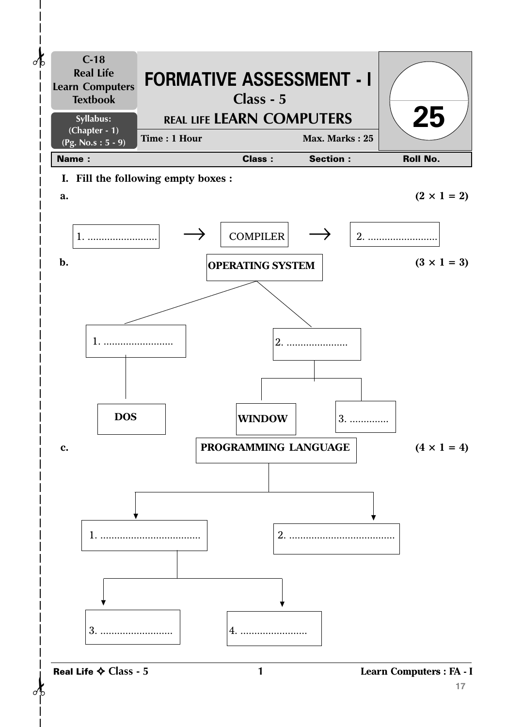

**1 Learn Computers : FA - I**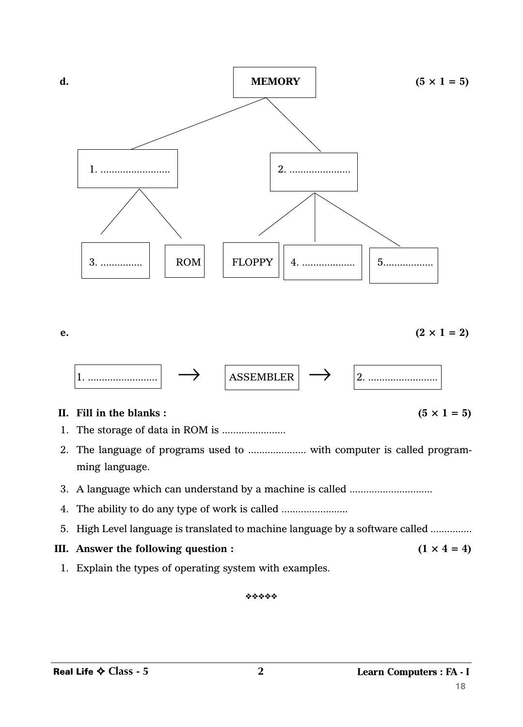

**e.**  $(2 \times 1 = 2)$  $\boxed{\leftarrow}$   $\boxed{\text{ASSEMBLER}}$   $\rightarrow$   $\boxed{\leftarrow}$   $\boxed{\leftarrow}$ 

## **II.** Fill in the blanks:  $(5 \times 1 = 5)$

- 1. The storage of data in ROM is .......................
- 2. The language of programs used to ..................... with computer is called programming language.
- 3. A language which can understand by a machine is called ..............................
- 4. The ability to do any type of work is called ................................
- 5. High Level language is translated to machine language by a software called ...............
- **III.** Answer the following question :  $(1 \times 4 = 4)$
- 1. Explain the types of operating system with examples.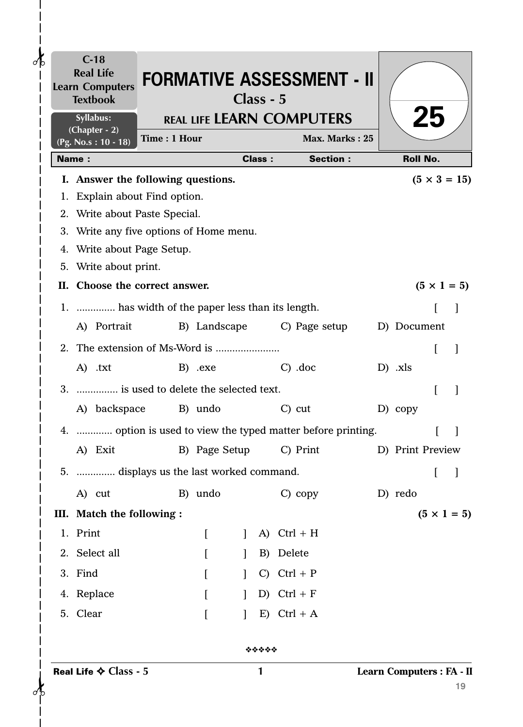| $\partial$ b | $C-18$<br><b>Real Life</b><br><b>Learn Computers</b><br><b>Textbook</b> |              |  |          |  |                                                 | Class - 5     | <b>FORMATIVE ASSESSMENT - II</b> |                    |                           |    |                     |  |
|--------------|-------------------------------------------------------------------------|--------------|--|----------|--|-------------------------------------------------|---------------|----------------------------------|--------------------|---------------------------|----|---------------------|--|
|              | Syllabus:<br>(Chapter - 2)                                              |              |  |          |  |                                                 |               | <b>REAL LIFE LEARN COMPUTERS</b> |                    |                           | 25 |                     |  |
|              | (Pg. No.s: 10 - 18)                                                     | Time: 1 Hour |  |          |  |                                                 |               |                                  | Max. Marks: 25     |                           |    |                     |  |
|              | <b>Name:</b>                                                            |              |  |          |  |                                                 | <b>Class:</b> |                                  | <b>Section:</b>    | <b>Roll No.</b>           |    |                     |  |
|              | I. Answer the following questions.                                      |              |  |          |  |                                                 |               |                                  |                    |                           |    | $(5 \times 3 = 15)$ |  |
|              | 1. Explain about Find option.                                           |              |  |          |  |                                                 |               |                                  |                    |                           |    |                     |  |
|              | 2. Write about Paste Special.                                           |              |  |          |  |                                                 |               |                                  |                    |                           |    |                     |  |
|              | 3. Write any five options of Home menu.                                 |              |  |          |  |                                                 |               |                                  |                    |                           |    |                     |  |
|              | 4. Write about Page Setup.                                              |              |  |          |  |                                                 |               |                                  |                    |                           |    |                     |  |
|              | 5. Write about print.                                                   |              |  |          |  |                                                 |               |                                  |                    |                           |    |                     |  |
|              | II. Choose the correct answer.                                          |              |  |          |  |                                                 |               |                                  | $(5 \times 1 = 5)$ |                           |    |                     |  |
|              | 1.  has width of the paper less than its length.                        |              |  |          |  |                                                 |               |                                  |                    |                           |    |                     |  |
|              | A) Portrait                                                             |              |  |          |  |                                                 |               | B) Landscape C) Page setup       |                    | D) Document               |    |                     |  |
|              |                                                                         |              |  |          |  |                                                 |               |                                  |                    |                           | L  |                     |  |
|              | A) .txt                                                                 |              |  | B) .exe  |  |                                                 |               | $C)$ .doc                        |                    | $D)$ .xls                 |    |                     |  |
|              | 3.  is used to delete the selected text.                                |              |  |          |  |                                                 |               |                                  |                    |                           | ſ  |                     |  |
|              | A) backspace B) undo                                                    |              |  |          |  |                                                 |               | $C)$ cut                         |                    | D) copy                   |    |                     |  |
|              | 4.  option is used to view the typed matter before printing.            |              |  |          |  |                                                 |               |                                  |                    |                           |    |                     |  |
|              |                                                                         |              |  |          |  |                                                 |               |                                  |                    |                           |    |                     |  |
|              |                                                                         |              |  |          |  | A) Exit B) Page Setup C) Print D) Print Preview |               |                                  |                    |                           |    |                     |  |
|              | 5.  displays us the last worked command.                                |              |  |          |  |                                                 |               |                                  |                    |                           | t  |                     |  |
|              | A) cut                                                                  |              |  | B) undo  |  |                                                 |               | $C)$ copy                        |                    | D) redo                   |    |                     |  |
|              | III. Match the following :                                              |              |  |          |  |                                                 |               |                                  |                    |                           |    | $(5 \times 1 = 5)$  |  |
|              | 1. Print                                                                |              |  | $\lceil$ |  |                                                 | A)            | $Ctrl + H$                       |                    |                           |    |                     |  |
|              | 2. Select all                                                           |              |  |          |  |                                                 | B)            | Delete                           |                    |                           |    |                     |  |
|              | 3. Find                                                                 |              |  | $\lceil$ |  |                                                 | $\mathcal{C}$ | $Ctrl + P$                       |                    |                           |    |                     |  |
|              | 4. Replace                                                              |              |  | $\lceil$ |  | $\mathbf{I}$                                    |               | D) Ctrl + $F$                    |                    |                           |    |                     |  |
|              | 5. Clear                                                                |              |  | $\Gamma$ |  |                                                 | E)            | $Ctrl + A$                       |                    |                           |    |                     |  |
|              |                                                                         |              |  |          |  |                                                 | *****         |                                  |                    |                           |    |                     |  |
|              | Real Life $\diamondsuit$ Class - 5                                      |              |  |          |  |                                                 | 1             |                                  |                    | Learn Computers : FA - II |    | 19                  |  |

 $\mathbf l$  $\overline{\phantom{a}}$  $\mathbf{I}$  $\begin{matrix} \end{matrix}$ 

 $\overline{\phantom{a}}$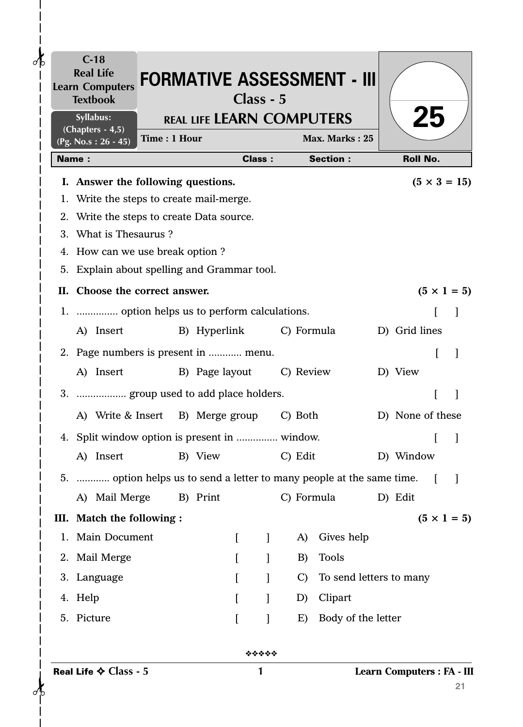|              | $C-18$<br><b>Real Life</b><br><b>Learn Computers</b><br><b>Textbook</b> |              |              | Class - 5 |               |           |               | <b>FORMATIVE ASSESSMENT - III</b> |                            |    |                     |
|--------------|-------------------------------------------------------------------------|--------------|--------------|-----------|---------------|-----------|---------------|-----------------------------------|----------------------------|----|---------------------|
|              | Syllabus:                                                               |              |              |           |               |           |               | <b>REAL LIFE LEARN COMPUTERS</b>  |                            | 25 |                     |
|              | $(Chapters - 4, 5)$<br>$(Pg. No.s: 26 - 45)$                            | Time: 1 Hour |              |           |               |           |               | Max. Marks: 25                    |                            |    |                     |
| <b>Name:</b> |                                                                         |              |              |           | <b>Class:</b> |           |               | <b>Section:</b>                   | <b>Roll No.</b>            |    |                     |
|              | I. Answer the following questions.                                      |              |              |           |               |           |               |                                   |                            |    | $(5 \times 3 = 15)$ |
|              | 1. Write the steps to create mail-merge.                                |              |              |           |               |           |               |                                   |                            |    |                     |
|              | 2. Write the steps to create Data source.                               |              |              |           |               |           |               |                                   |                            |    |                     |
|              | 3. What is Thesaurus?                                                   |              |              |           |               |           |               |                                   |                            |    |                     |
|              | 4. How can we use break option?                                         |              |              |           |               |           |               |                                   |                            |    |                     |
|              | 5. Explain about spelling and Grammar tool.                             |              |              |           |               |           |               |                                   |                            |    |                     |
|              | II. Choose the correct answer.                                          |              |              |           |               |           |               |                                   |                            |    | $(5 \times 1 = 5)$  |
|              | 1.  option helps us to perform calculations.                            |              |              |           |               |           |               |                                   |                            |    |                     |
|              | A) Insert                                                               |              | B) Hyperlink |           |               |           |               | C) Formula                        | D) Grid lines              |    |                     |
|              | 2. Page numbers is present in  menu.                                    |              |              |           |               |           |               |                                   |                            | L  |                     |
|              | A) Insert B) Page layout                                                |              |              |           |               | C) Review |               |                                   | D) View                    |    |                     |
|              | 3.  group used to add place holders.                                    |              |              |           |               |           |               |                                   |                            |    |                     |
|              |                                                                         |              |              |           |               |           |               |                                   |                            |    |                     |
|              | A) Write & Insert B) Merge group C) Both                                |              |              |           |               |           |               |                                   | D) None of these           |    |                     |
|              | 4. Split window option is present in  window.                           |              |              |           |               |           |               |                                   |                            |    |                     |
|              | A) Insert                                                               |              | B) View      |           |               |           | C) Edit       |                                   | D) Window                  |    |                     |
|              | 5.  option helps us to send a letter to many people at the same time.   |              |              |           |               |           |               |                                   |                            |    |                     |
|              | A) Mail Merge                                                           |              | B) Print     |           |               |           |               | C) Formula                        | D) Edit                    |    |                     |
|              | III. Match the following :                                              |              |              |           |               |           |               |                                   |                            |    | $(5 \times 1 = 5)$  |
|              | 1. Main Document                                                        |              |              | L         | $\mathbf{I}$  |           | A)            | Gives help                        |                            |    |                     |
|              | 2. Mail Merge                                                           |              |              |           |               |           | B)            | <b>Tools</b>                      |                            |    |                     |
|              | 3. Language                                                             |              |              |           |               |           | $\mathcal{C}$ | To send letters to many           |                            |    |                     |
|              | 4. Help                                                                 |              |              |           |               |           | D)            | Clipart                           |                            |    |                     |
|              | 5. Picture                                                              |              |              |           |               |           | E)            | Body of the letter                |                            |    |                     |
|              |                                                                         |              |              |           | *****         |           |               |                                   |                            |    |                     |
|              | Real Life $\diamondsuit$ Class - 5                                      |              |              |           | 1             |           |               |                                   | Learn Computers : FA - III |    | 21                  |

 $-\frac{1}{6}$ 

Ť

 $\mathbf{I}$  $\begin{array}{c} \hline \end{array}$  $\mathbf{I}$  $\overline{\phantom{a}}$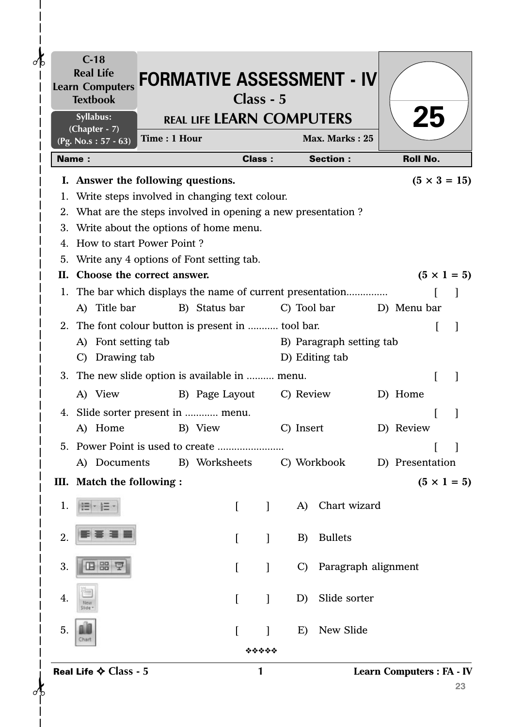|      | $C-18$<br><b>Real Life</b><br><b>Learn Computers</b><br><b>Textbook</b> |              |                                  | Class - 5                |           |               | <b>FORMATIVE ASSESSMENT - IV</b> |                                  |    |
|------|-------------------------------------------------------------------------|--------------|----------------------------------|--------------------------|-----------|---------------|----------------------------------|----------------------------------|----|
|      | Syllabus:                                                               |              | <b>REAL LIFE LEARN COMPUTERS</b> |                          |           |               |                                  | <b>25</b>                        |    |
|      | $(Chapter - 7)$<br>(Pg. No.s: $57 - 63$ )                               | Time: 1 Hour |                                  |                          |           |               | Max. Marks: 25                   |                                  |    |
|      | <b>Name:</b>                                                            |              |                                  | <b>Class:</b>            |           |               | <b>Section:</b>                  | <b>Roll No.</b>                  |    |
|      | I. Answer the following questions.                                      |              |                                  |                          |           |               |                                  | $(5 \times 3 = 15)$              |    |
|      | 1. Write steps involved in changing text colour.                        |              |                                  |                          |           |               |                                  |                                  |    |
|      | 2. What are the steps involved in opening a new presentation?           |              |                                  |                          |           |               |                                  |                                  |    |
|      | 3. Write about the options of home menu.                                |              |                                  |                          |           |               |                                  |                                  |    |
|      | 4. How to start Power Point?                                            |              |                                  |                          |           |               |                                  |                                  |    |
|      | 5. Write any 4 options of Font setting tab.                             |              |                                  |                          |           |               |                                  |                                  |    |
| П. – | Choose the correct answer.                                              |              |                                  |                          |           |               |                                  | $(5 \times 1 = 5)$               |    |
|      | 1. The bar which displays the name of current presentation              |              |                                  |                          |           |               |                                  |                                  |    |
|      | A) Title bar                                                            |              | B) Status bar                    |                          |           |               | C) Tool bar                      | D) Menu bar                      |    |
|      | 2. The font colour button is present in  tool bar.                      |              |                                  |                          |           |               |                                  |                                  |    |
|      | Font setting tab<br>A)                                                  |              |                                  |                          |           |               | B) Paragraph setting tab         |                                  |    |
|      | Drawing tab<br>$\mathcal{C}$                                            |              |                                  |                          |           |               | D) Editing tab                   |                                  |    |
|      | 3. The new slide option is available in  menu.                          |              |                                  |                          |           |               |                                  |                                  |    |
|      | A) View                                                                 |              | B) Page Layout                   |                          | C) Review |               |                                  | D) Home                          |    |
|      | 4. Slide sorter present in  menu.                                       |              |                                  |                          |           |               |                                  |                                  |    |
|      | A) Home                                                                 |              | B) View                          |                          | C) Insert |               |                                  | D) Review                        |    |
|      |                                                                         |              |                                  |                          |           |               |                                  |                                  |    |
|      | A) Documents B) Worksheets                                              |              |                                  |                          |           |               | C) Workbook                      | D) Presentation                  |    |
|      | III. Match the following :                                              |              |                                  |                          |           |               |                                  | $(5 \times 1 = 5)$               |    |
| 1.   |                                                                         |              |                                  | $\Gamma$<br>$\mathbf{I}$ |           | A)            | Chart wizard                     |                                  |    |
|      |                                                                         |              |                                  |                          |           |               |                                  |                                  |    |
| 2.   |                                                                         |              |                                  | $\Gamma$<br>1            |           | B)            | <b>Bullets</b>                   |                                  |    |
|      |                                                                         |              |                                  |                          |           |               |                                  |                                  |    |
| 3.   | 日器                                                                      |              | $\Gamma$                         | $\mathbf{I}$             |           | $\mathcal{C}$ | Paragraph alignment              |                                  |    |
|      |                                                                         |              |                                  |                          |           |               |                                  |                                  |    |
| 4.   |                                                                         |              |                                  | $\Gamma$<br>$\mathbf{I}$ |           | D)            | Slide sorter                     |                                  |    |
|      |                                                                         |              |                                  |                          |           |               |                                  |                                  |    |
| 5.   | Chart                                                                   |              |                                  |                          |           | E)            | New Slide                        |                                  |    |
|      |                                                                         |              |                                  | *****                    |           |               |                                  |                                  |    |
|      | Real Life $\diamond$ Class - 5                                          |              |                                  | 1                        |           |               |                                  | <b>Learn Computers : FA - IV</b> |    |
|      |                                                                         |              |                                  |                          |           |               |                                  |                                  | 23 |

 $\frac{1}{2}$ 

 $\mathbf{I}$  $\overline{\phantom{a}}$  $\mathbf{I}$  $\overline{1}$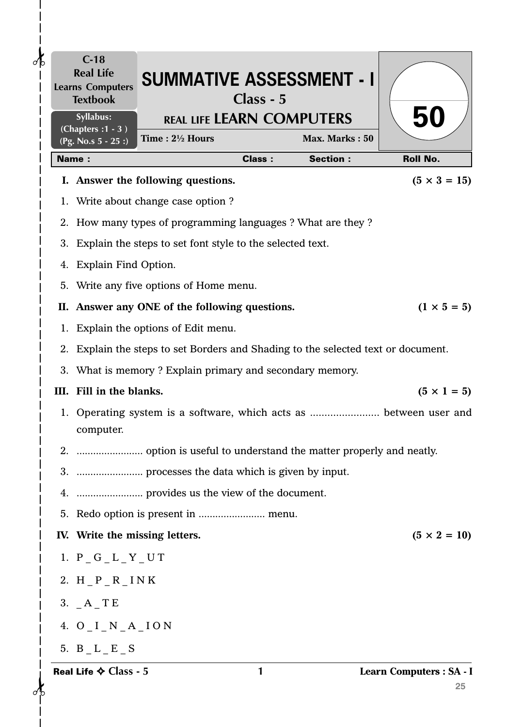| $\delta$ | $C-18$<br><b>Real Life</b><br><b>Learns Computers</b><br><b>Textbook</b> | <b>SUMMATIVE ASSESSMENT - I</b>                                                   | Class - 5     |                 |                                |
|----------|--------------------------------------------------------------------------|-----------------------------------------------------------------------------------|---------------|-----------------|--------------------------------|
|          | Syllabus:<br>(Chapters: 1 - 3)                                           | <b>REAL LIFE LEARN COMPUTERS</b><br>Time: $2\frac{1}{2}$ Hours                    |               | Max. Marks: 50  | <b>50</b>                      |
|          | (Pg. No.s $5 - 25$ :)<br><b>Name:</b>                                    |                                                                                   | <b>Class:</b> | <b>Section:</b> | <b>Roll No.</b>                |
|          |                                                                          | I. Answer the following questions.                                                |               |                 | $(5 \times 3 = 15)$            |
|          |                                                                          | 1. Write about change case option ?                                               |               |                 |                                |
|          |                                                                          | 2. How many types of programming languages ? What are they ?                      |               |                 |                                |
|          |                                                                          | 3. Explain the steps to set font style to the selected text.                      |               |                 |                                |
|          | 4. Explain Find Option.                                                  |                                                                                   |               |                 |                                |
|          |                                                                          | 5. Write any five options of Home menu.                                           |               |                 |                                |
|          |                                                                          | II. Answer any ONE of the following questions.                                    |               |                 | $(1 \times 5 = 5)$             |
|          |                                                                          | 1. Explain the options of Edit menu.                                              |               |                 |                                |
|          |                                                                          | 2. Explain the steps to set Borders and Shading to the selected text or document. |               |                 |                                |
|          |                                                                          | 3. What is memory ? Explain primary and secondary memory.                         |               |                 |                                |
|          | III. Fill in the blanks.                                                 |                                                                                   |               |                 | $(5 \times 1 = 5)$             |
|          | computer.                                                                | 1. Operating system is a software, which acts as  between user and                |               |                 |                                |
| 2.       |                                                                          |                                                                                   |               |                 |                                |
|          |                                                                          |                                                                                   |               |                 |                                |
|          |                                                                          |                                                                                   |               |                 |                                |
|          |                                                                          |                                                                                   |               |                 |                                |
|          | IV. Write the missing letters.                                           |                                                                                   |               |                 | $(5 \times 2 = 10)$            |
|          | 1. $P_G_L_T_T$                                                           |                                                                                   |               |                 |                                |
|          | 2. H $_P_R$ $_R$ INK                                                     |                                                                                   |               |                 |                                |
|          | 3. $A$ <sup>TE</sup>                                                     |                                                                                   |               |                 |                                |
|          | 4. $O I_N A_I$ ION                                                       |                                                                                   |               |                 |                                |
|          | 5. $B_L_E_S$                                                             |                                                                                   |               |                 |                                |
|          | Real Life $\diamond$ Class - 5                                           |                                                                                   | 1             |                 | Learn Computers : SA - I<br>25 |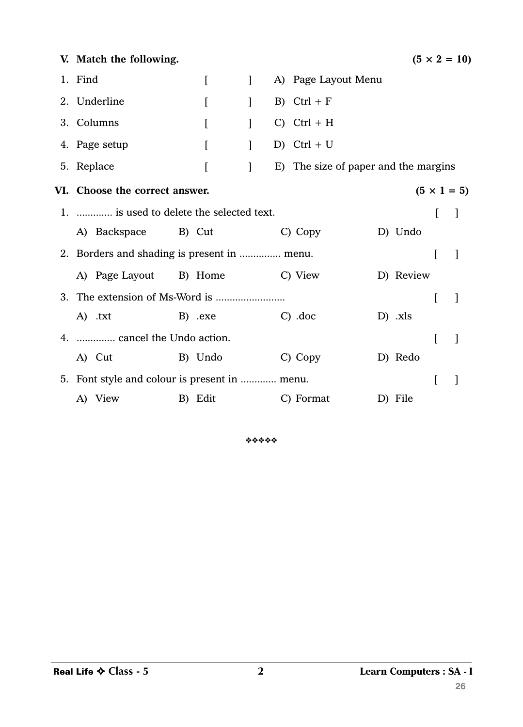| V. Match the following.                              |                                |              |  |                                      |  |           |                | $(5 \times 2 = 10)$ |  |  |
|------------------------------------------------------|--------------------------------|--------------|--|--------------------------------------|--|-----------|----------------|---------------------|--|--|
| 1. Find                                              | $\Gamma$                       | $\mathbf{1}$ |  | A) Page Layout Menu                  |  |           |                |                     |  |  |
| 2. Underline                                         | $\overline{[}$                 | $\mathbf{I}$ |  | B) $Ctrl + F$                        |  |           |                |                     |  |  |
| 3. Columns                                           | $\mathsf{L}$                   | $\mathbf{I}$ |  | $C)$ Ctrl + H                        |  |           |                |                     |  |  |
| 4. Page setup                                        | [                              | $\mathbf{I}$ |  | D) Ctrl + U                          |  |           |                |                     |  |  |
| 5. Replace                                           | $\left[ \right]$               | $\mathbf{I}$ |  | E) The size of paper and the margins |  |           |                |                     |  |  |
| VI. Choose the correct answer.<br>$(5 \times 1 = 5)$ |                                |              |  |                                      |  |           |                |                     |  |  |
| 1.  is used to delete the selected text.             |                                |              |  |                                      |  |           | $\lceil$       | $\mathbf{I}$        |  |  |
|                                                      | A) Backspace B) Cut            |              |  | C) Copy                              |  | D) Undo   |                |                     |  |  |
| 2. Borders and shading is present in  menu.          |                                |              |  |                                      |  |           |                |                     |  |  |
|                                                      | A) Page Layout B) Home C) View |              |  |                                      |  | D) Review |                |                     |  |  |
|                                                      |                                |              |  |                                      |  |           | $\overline{[}$ |                     |  |  |
| A) .txt                                              | B) .exe                        |              |  | $C)$ .doc                            |  | $D)$ .xls |                |                     |  |  |
| 4.  cancel the Undo action.                          |                                |              |  |                                      |  |           | L              |                     |  |  |
| A) Cut                                               | B) Undo                        |              |  | C) Copy                              |  | D) Redo   |                |                     |  |  |
| 5. Font style and colour is present in  menu.        |                                |              |  |                                      |  |           | I              |                     |  |  |
| A) View                                              | B) Edit                        |              |  | C) Format                            |  | D) File   |                |                     |  |  |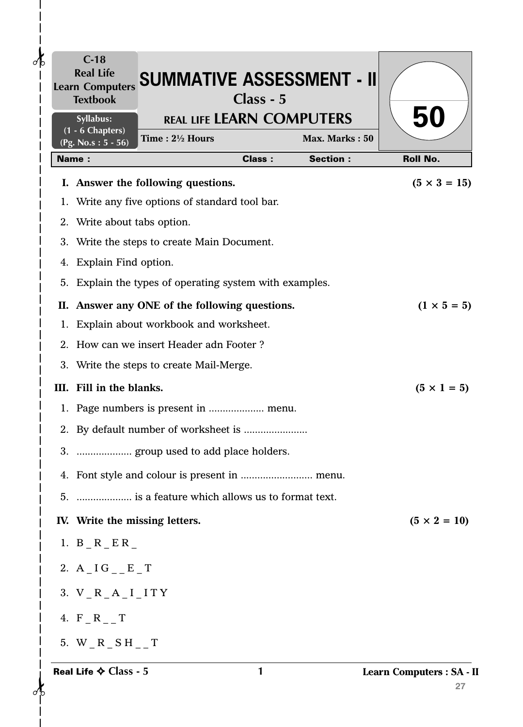| $\partial\mathbf{b}$ | $C-18$<br><b>Real Life</b><br><b>Learn Computers</b><br><b>Textbook</b> | <b>SUMMATIVE ASSESSMENT - II</b>                        | Class - 5     |                 |                                |
|----------------------|-------------------------------------------------------------------------|---------------------------------------------------------|---------------|-----------------|--------------------------------|
|                      | Syllabus:<br>$(1 - 6$ Chapters)                                         | <b>REAL LIFE LEARN COMPUTERS</b>                        |               |                 | 50                             |
|                      | (Pg. No.s: 5 - 56)                                                      | Time: 21/2 Hours                                        |               | Max. Marks: 50  |                                |
|                      | <b>Name:</b>                                                            |                                                         | <b>Class:</b> | <b>Section:</b> | <b>Roll No.</b>                |
|                      |                                                                         | I. Answer the following questions.                      |               |                 | $(5 \times 3 = 15)$            |
|                      |                                                                         | 1. Write any five options of standard tool bar.         |               |                 |                                |
|                      | 2. Write about tabs option.                                             |                                                         |               |                 |                                |
|                      |                                                                         | 3. Write the steps to create Main Document.             |               |                 |                                |
|                      | 4. Explain Find option.                                                 |                                                         |               |                 |                                |
|                      |                                                                         | 5. Explain the types of operating system with examples. |               |                 |                                |
|                      |                                                                         | II. Answer any ONE of the following questions.          |               |                 | $(1 \times 5 = 5)$             |
|                      |                                                                         | 1. Explain about workbook and worksheet.                |               |                 |                                |
| $2_{-}$              |                                                                         | How can we insert Header adn Footer?                    |               |                 |                                |
|                      |                                                                         | 3. Write the steps to create Mail-Merge.                |               |                 |                                |
|                      | III. Fill in the blanks.                                                |                                                         |               |                 | $(5 \times 1 = 5)$             |
|                      |                                                                         |                                                         |               |                 |                                |
|                      |                                                                         |                                                         |               |                 |                                |
|                      |                                                                         | 3.  group used to add place holders.                    |               |                 |                                |
|                      |                                                                         |                                                         |               |                 |                                |
|                      |                                                                         | 5.  is a feature which allows us to format text.        |               |                 |                                |
|                      | IV. Write the missing letters.                                          |                                                         |               |                 | $(5 \times 2 = 10)$            |
|                      | 1. B R ER                                                               |                                                         |               |                 |                                |
|                      | 2. A IG E T                                                             |                                                         |               |                 |                                |
|                      | 3. $V_R_A_I$ I ITY                                                      |                                                         |               |                 |                                |
|                      | 4. $F_R_R$ _T                                                           |                                                         |               |                 |                                |
|                      | 5. W R SH T                                                             |                                                         |               |                 |                                |
|                      | Real Life $\diamond$ Class - 5                                          |                                                         | 1             |                 | Learn Computers : SA - I<br>27 |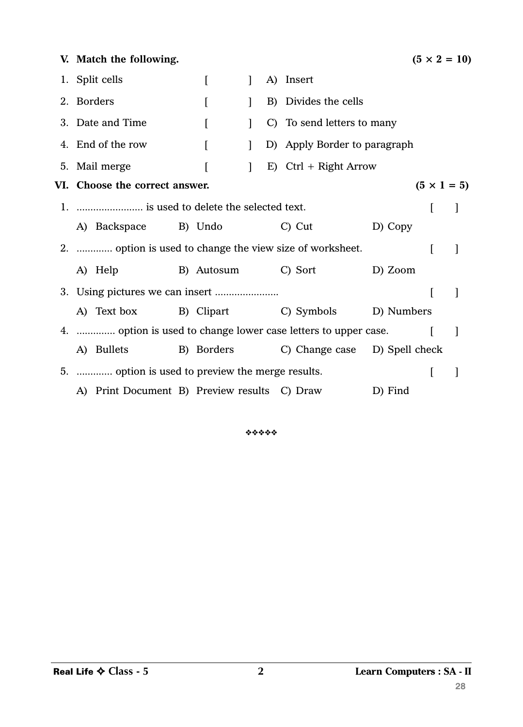| V. Match the following.                                        |  |          |              |  |                                          |         |   | $(5 \times 2 = 10)$ |  |  |
|----------------------------------------------------------------|--|----------|--------------|--|------------------------------------------|---------|---|---------------------|--|--|
| 1. Split cells                                                 |  | L        | $\mathbf{I}$ |  | A) Insert                                |         |   |                     |  |  |
| 2. Borders                                                     |  | $\Gamma$ | 1            |  | B) Divides the cells                     |         |   |                     |  |  |
| 3. Date and Time                                               |  | L        |              |  | C) To send letters to many               |         |   |                     |  |  |
| 4. End of the row                                              |  | L        | 1            |  | D) Apply Border to paragraph             |         |   |                     |  |  |
| 5. Mail merge                                                  |  |          | $\mathbf{1}$ |  | E) Ctrl + Right Arrow                    |         |   |                     |  |  |
| VI. Choose the correct answer.<br>$(5 \times 1 = 5)$           |  |          |              |  |                                          |         |   |                     |  |  |
|                                                                |  |          |              |  |                                          |         |   |                     |  |  |
| A) Backspace B) Undo                                           |  |          |              |  | C) Cut                                   | D) Copy |   |                     |  |  |
| 2.  option is used to change the view size of worksheet.       |  |          |              |  |                                          |         |   | 1                   |  |  |
| A) Help                                                        |  |          |              |  | B) Autosum C) Sort                       | D) Zoom |   |                     |  |  |
|                                                                |  |          |              |  |                                          |         | I | $\mathbf{I}$        |  |  |
| A) Text box B) Clipart C) Symbols D) Numbers                   |  |          |              |  |                                          |         |   |                     |  |  |
| 4.  option is used to change lower case letters to upper case. |  |          |              |  |                                          |         |   | 1                   |  |  |
| A) Bullets                                                     |  |          |              |  | B) Borders C) Change case D) Spell check |         |   |                     |  |  |
| 5.  option is used to preview the merge results.               |  |          |              |  |                                          |         | L |                     |  |  |
| A) Print Document B) Preview results C) Draw                   |  |          |              |  |                                          | D) Find |   |                     |  |  |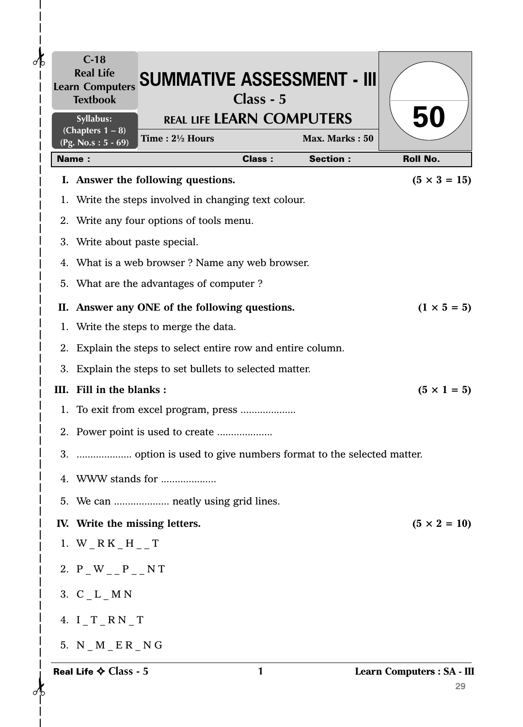| $\delta$ | $C-18$<br><b>Real Life</b><br><b>Learn Computers</b><br><b>Textbook</b> | <b>SUMMATIVE ASSESSMENT - III</b>                                 | Class - 5     |                 |                                  |
|----------|-------------------------------------------------------------------------|-------------------------------------------------------------------|---------------|-----------------|----------------------------------|
|          | Syllabus:                                                               | <b>REAL LIFE LEARN COMPUTERS</b>                                  |               |                 | <b>50</b>                        |
|          | (Chapters $1 - 8$ )<br>(Pg. No.s: $5 - 69$ )                            | Time: 21/2 Hours                                                  |               | Max. Marks: 50  |                                  |
|          | <b>Name:</b>                                                            |                                                                   | <b>Class:</b> | <b>Section:</b> | <b>Roll No.</b>                  |
|          |                                                                         | I. Answer the following questions.                                |               |                 | $(5 \times 3 = 15)$              |
|          |                                                                         | 1. Write the steps involved in changing text colour.              |               |                 |                                  |
|          |                                                                         | 2. Write any four options of tools menu.                          |               |                 |                                  |
|          | 3. Write about paste special.                                           |                                                                   |               |                 |                                  |
|          |                                                                         | 4. What is a web browser? Name any web browser.                   |               |                 |                                  |
|          |                                                                         | 5. What are the advantages of computer?                           |               |                 |                                  |
|          |                                                                         | II. Answer any ONE of the following questions.                    |               |                 | $(1 \times 5 = 5)$               |
|          |                                                                         | 1. Write the steps to merge the data.                             |               |                 |                                  |
|          |                                                                         | 2. Explain the steps to select entire row and entire column.      |               |                 |                                  |
|          |                                                                         | 3. Explain the steps to set bullets to selected matter.           |               |                 |                                  |
|          | III. Fill in the blanks:                                                |                                                                   |               |                 | $(5 \times 1 = 5)$               |
|          |                                                                         |                                                                   |               |                 |                                  |
|          |                                                                         |                                                                   |               |                 |                                  |
|          |                                                                         | 3.  option is used to give numbers format to the selected matter. |               |                 |                                  |
|          |                                                                         | 4. WWW stands for                                                 |               |                 |                                  |
|          |                                                                         | 5. We can  neatly using grid lines.                               |               |                 |                                  |
|          | IV. Write the missing letters.                                          |                                                                   |               |                 | $(5 \times 2 = 10)$              |
|          | 1. W $_R$ K $_H$ $_H$ $_T$                                              |                                                                   |               |                 |                                  |
|          | 2. $P_{W_{--}}P_{--}N T$                                                |                                                                   |               |                 |                                  |
|          | 3. $C_L_M N$                                                            |                                                                   |               |                 |                                  |
|          | 4. $I_T_RN_T$                                                           |                                                                   |               |                 |                                  |
|          | 5. $N_M_E_R_R_N$                                                        |                                                                   |               |                 |                                  |
|          | Real Life $\diamond$ Class - 5                                          |                                                                   | 1             |                 | Learn Computers : SA - III<br>29 |

 $\begin{array}{c}\n\bullet \\
\bullet \\
\bullet\n\end{array}$ 

 $\vert$  $\begin{array}{c} \hline \end{array}$  $\overline{\phantom{a}}$  $\begin{array}{c} \end{array}$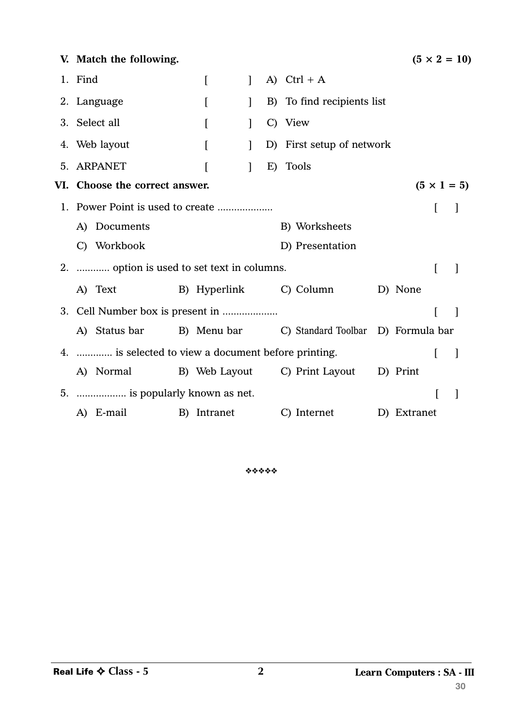| V. Match the following.                                      |                                                |              |    |                            |  |             |   | $(5 \times 2 = 10)$ |  |  |  |
|--------------------------------------------------------------|------------------------------------------------|--------------|----|----------------------------|--|-------------|---|---------------------|--|--|--|
| 1. Find                                                      | L                                              | $\mathbf{1}$ |    | A) Ctrl + A                |  |             |   |                     |  |  |  |
| 2. Language                                                  | $\Gamma$                                       | 1            |    | B) To find recipients list |  |             |   |                     |  |  |  |
| 3. Select all                                                |                                                | 1            |    | C) View                    |  |             |   |                     |  |  |  |
| 4. Web layout                                                | D) First setup of network<br>$\mathbf{I}$<br>L |              |    |                            |  |             |   |                     |  |  |  |
| 5. ARPANET                                                   |                                                | 1            | E) | <b>Tools</b>               |  |             |   |                     |  |  |  |
| VI. Choose the correct answer.<br>$(5 \times 1 = 5)$         |                                                |              |    |                            |  |             |   |                     |  |  |  |
|                                                              |                                                | L            |    |                            |  |             |   |                     |  |  |  |
| A) Documents                                                 |                                                |              |    | B) Worksheets              |  |             |   |                     |  |  |  |
| C) Workbook                                                  |                                                |              |    | D) Presentation            |  |             |   |                     |  |  |  |
| 2.  option is used to set text in columns.                   |                                                |              |    |                            |  |             | ſ |                     |  |  |  |
| A) Text                                                      |                                                |              |    | B) Hyperlink C) Column     |  | D) None     |   |                     |  |  |  |
| 3. Cell Number box is present in                             |                                                |              |    |                            |  |             |   |                     |  |  |  |
| A) Status bar B) Menu bar C) Standard Toolbar D) Formula bar |                                                |              |    |                            |  |             |   |                     |  |  |  |
| 4.  is selected to view a document before printing.          |                                                |              |    |                            |  |             | L | $\Box$              |  |  |  |
| A) Normal B) Web Layout C) Print Layout D) Print             |                                                |              |    |                            |  |             |   |                     |  |  |  |
| 5.  is popularly known as net.                               |                                                |              |    |                            |  |             | I |                     |  |  |  |
| A) E-mail                                                    | B) Intranet                                    |              |    | C) Internet                |  | D) Extranet |   |                     |  |  |  |